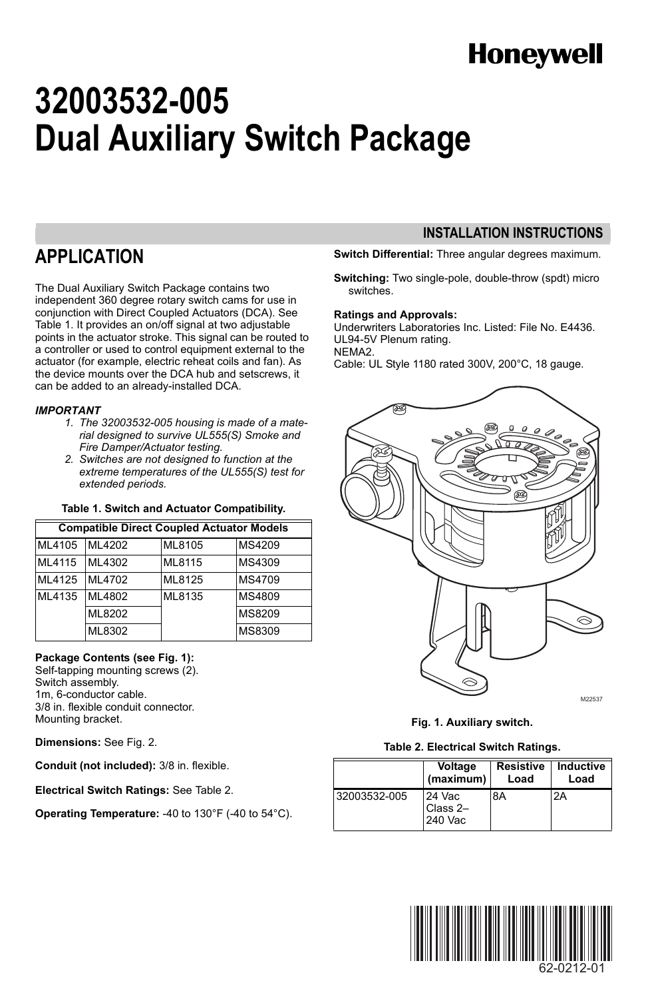# **Honeywell**

# **32003532-005 Dual Auxiliary Switch Package**

### **APPLICATION**

The Dual Auxiliary Switch Package contains two independent 360 degree rotary switch cams for use in conjunction with Direct Coupled Actuators (DCA). See Table 1. It provides an on/off signal at two adjustable points in the actuator stroke. This signal can be routed to a controller or used to control equipment external to the actuator (for example, electric reheat coils and fan). As the device mounts over the DCA hub and setscrews, it can be added to an already-installed DCA.

#### *IMPORTANT*

- *1. The 32003532-005 housing is made of a material designed to survive UL555(S) Smoke and Fire Damper/Actuator testing.*
- *2. Switches are not designed to function at the extreme temperatures of the UL555(S) test for extended periods.*

#### **Table 1. Switch and Actuator Compatibility.**

| <b>Compatible Direct Coupled Actuator Models</b> |        |        |        |  |
|--------------------------------------------------|--------|--------|--------|--|
| ML4105                                           | ML4202 | ML8105 | MS4209 |  |
| ML4115                                           | ML4302 | ML8115 | MS4309 |  |
| ML4125                                           | ML4702 | ML8125 | MS4709 |  |
| ML4135                                           | ML4802 | ML8135 | MS4809 |  |
|                                                  | ML8202 |        | MS8209 |  |
|                                                  | ML8302 |        | MS8309 |  |

#### **Package Contents (see Fig. 1):**

Self-tapping mounting screws (2). Switch assembly. 1m, 6-conductor cable. 3/8 in. flexible conduit connector. Mounting bracket.

**Dimensions:** See Fig. 2.

**Conduit (not included):** 3/8 in. flexible.

**Electrical Switch Ratings:** See Table 2.

**Operating Temperature:** -40 to 130°F (-40 to 54°C).

### **INSTALLATION INSTRUCTIONS**

**Switch Differential:** Three angular degrees maximum.

**Switching:** Two single-pole, double-throw (spdt) micro switches.

#### **Ratings and Approvals:**

Underwriters Laboratories Inc. Listed: File No. E4436. UL94-5V Plenum rating. NEMA2.

Cable: UL Style 1180 rated 300V, 200°C, 18 gauge.



**Fig. 1. Auxiliary switch.**

#### **Table 2. Electrical Switch Ratings.**

|              | Voltage                       | <b>Resistive</b> | Inductive |
|--------------|-------------------------------|------------------|-----------|
|              | (maximum)                     | Load             | Load      |
| 32003532-005 | 24 Vac<br>Class 2-<br>240 Vac | 8A               | 2A        |

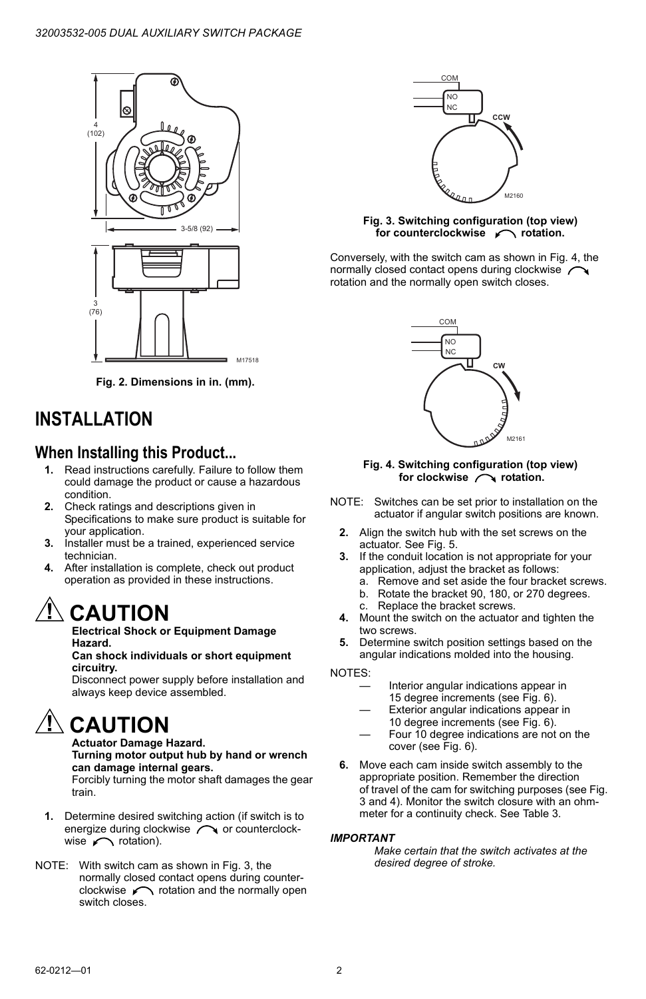

**Fig. 2. Dimensions in in. (mm).**

### **INSTALLATION**

### **When Installing this Product...**

- **1.** Read instructions carefully. Failure to follow them could damage the product or cause a hazardous condition.
- **2.** Check ratings and descriptions given in Specifications to make sure product is suitable for your application.
- **3.** Installer must be a trained, experienced service technician.
- **4.** After installation is complete, check out product operation as provided in these instructions.

# **CAUTION**

**Electrical Shock or Equipment Damage Hazard.**

#### **Can shock individuals or short equipment circuitry.**

Disconnect power supply before installation and always keep device assembled.

# **CAUTION**

**Actuator Damage Hazard. Turning motor output hub by hand or wrench can damage internal gears.**

Forcibly turning the motor shaft damages the gear train.

- **1.** Determine desired switching action (if switch is to energize during clockwise  $\curvearrowright$  or counterclockwise  $\sim$  rotation).
- NOTE: With switch cam as shown in Fig. 3, the normally closed contact opens during counter $clockwise$   $\sim$  rotation and the normally open switch closes.



#### **Fig. 3. Switching configuration (top view)**  for counterclockwise *c* rotation.

Conversely, with the switch cam as shown in Fig. 4, the normally closed contact opens during clockwise rotation and the normally open switch closes.



#### **Fig. 4. Switching configuration (top view)** for clockwise rotation.

- NOTE: Switches can be set prior to installation on the actuator if angular switch positions are known.
	- **2.** Align the switch hub with the set screws on the actuator. See Fig. 5.
	- **3.** If the conduit location is not appropriate for your application, adjust the bracket as follows:
		- a. Remove and set aside the four bracket screws.
		- b. Rotate the bracket 90, 180, or 270 degrees.
		- c. Replace the bracket screws.
	- **4.** Mount the switch on the actuator and tighten the two screws.
	- **5.** Determine switch position settings based on the angular indications molded into the housing.

NOTES:

- Interior angular indications appear in 15 degree increments (see Fig. 6).
- Exterior angular indications appear in 10 degree increments (see Fig. 6).
- Four 10 degree indications are not on the cover (see Fig. 6).
- **6.** Move each cam inside switch assembly to the appropriate position. Remember the direction of travel of the cam for switching purposes (see Fig. 3 and 4). Monitor the switch closure with an ohmmeter for a continuity check. See Table 3.

#### *IMPORTANT*

*Make certain that the switch activates at the desired degree of stroke.*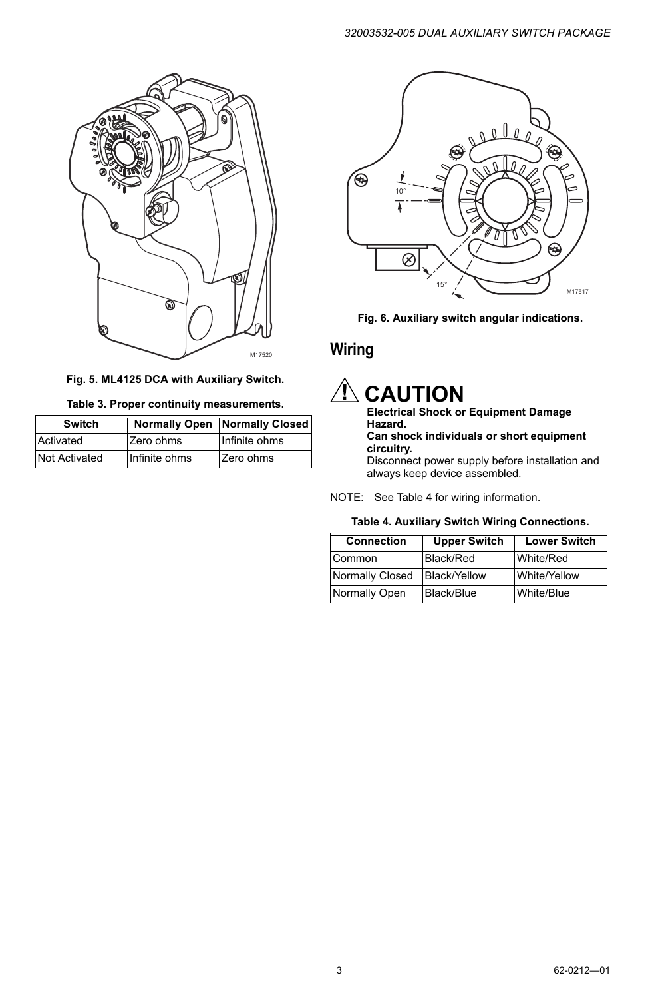

**Fig. 5. ML4125 DCA with Auxiliary Switch.**

|  | Table 3. Proper continuity measurements. |
|--|------------------------------------------|
|  |                                          |

| Switch               |               | <b>Normally Open   Normally Closed  </b> |
|----------------------|---------------|------------------------------------------|
| Activated            | Zero ohms     | Infinite ohms                            |
| <b>Not Activated</b> | Infinite ohms | Zero ohms                                |



**Fig. 6. Auxiliary switch angular indications.**

### **Wiring**

# **CAUTION**

### **Electrical Shock or Equipment Damage Hazard.**

#### **Can shock individuals or short equipment circuitry.**

Disconnect power supply before installation and always keep device assembled.

NOTE: See Table 4 for wiring information.

#### **Table 4. Auxiliary Switch Wiring Connections.**

| <b>Connection</b> | <b>Upper Switch</b> | <b>Lower Switch</b> |
|-------------------|---------------------|---------------------|
| Common            | Black/Red           | White/Red           |
| Normally Closed   | <b>Black/Yellow</b> | White/Yellow        |
| Normally Open     | Black/Blue          | White/Blue          |